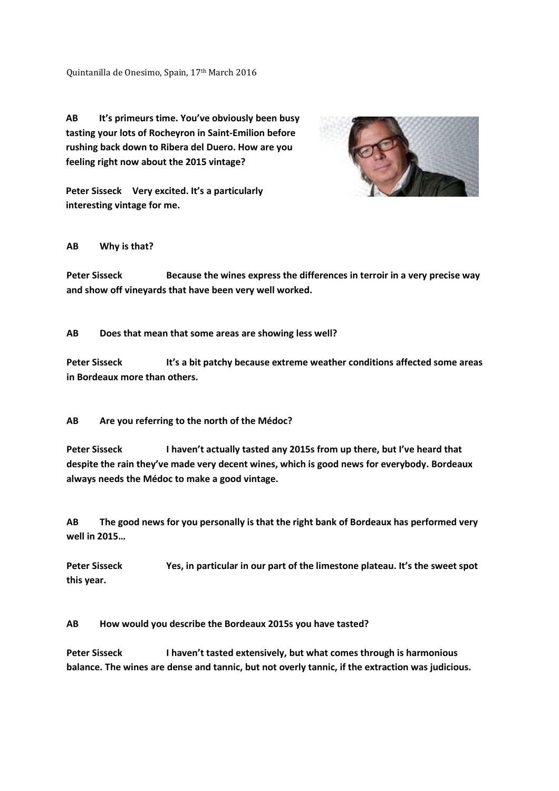Quintanilla de Onesimo, Spain, 17<sup>th</sup> March 2016

**AB It's primeurs time. You've obviously been busy tasting your lots of Rocheyron in Saint-Emilion before rushing back down to Ribera del Duero. How are you feeling right now about the 2015 vintage?** 



**Peter Sisseck Very excited. It's a particularly interesting vintage for me.** 

## **AB Why is that?**

**Peter Sisseck Because the wines express the differences in terroir in a very precise way and show off vineyards that have been very well worked.** 

**AB Does that mean that some areas are showing less well?** 

Peter Sisseck It's a bit patchy because extreme weather conditions affected some areas **in Bordeaux more than others.** 

**AB Are you referring to the north of the Médoc?** 

Peter Sisseck I haven't actually tasted any 2015s from up there, but I've heard that **despite the rain they've made very decent wines, which is good news for everybody. Bordeaux always needs the Médoc to make a good vintage.** 

**AB The good news for you personally is that the right bank of Bordeaux has performed very well in 2015…** 

Peter Sisseck Yes, in particular in our part of the limestone plateau. It's the sweet spot **this year.** 

**AB How would you describe the Bordeaux 2015s you have tasted?** 

**Peter Sisseck I haven't tasted extensively, but what comes through is harmonious balance. The wines are dense and tannic, but not overly tannic, if the extraction was judicious.**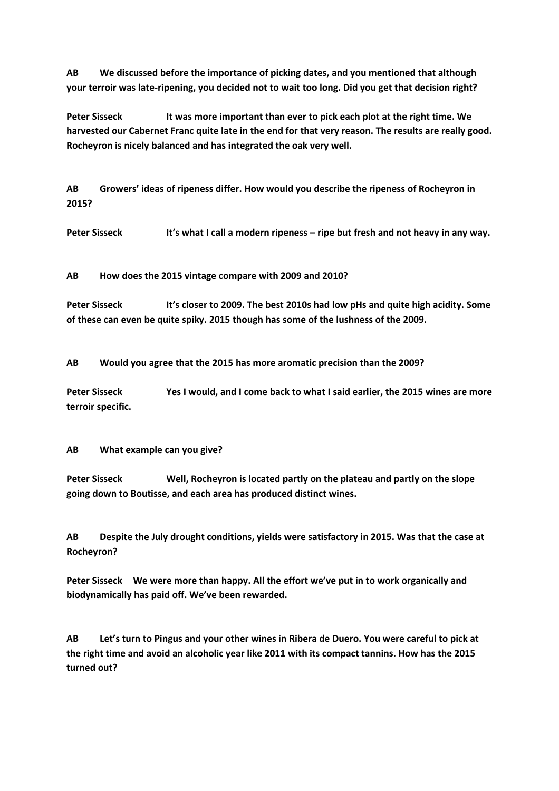**AB We discussed before the importance of picking dates, and you mentioned that although your terroir was late-ripening, you decided not to wait too long. Did you get that decision right?** 

Peter Sisseck It was more important than ever to pick each plot at the right time. We **harvested our Cabernet Franc quite late in the end for that very reason. The results are really good. Rocheyron is nicely balanced and has integrated the oak very well.** 

**AB Growers' ideas of ripeness differ. How would you describe the ripeness of Rocheyron in 2015?** 

Peter Sisseck **It's what I call a modern ripeness – ripe but fresh and not heavy in any way.** 

**AB How does the 2015 vintage compare with 2009 and 2010?** 

**Peter Sisseck It's closer to 2009. The best 2010s had low pHs and quite high acidity. Some of these can even be quite spiky. 2015 though has some of the lushness of the 2009.** 

**AB Would you agree that the 2015 has more aromatic precision than the 2009?** 

**Peter Sisseck Yes I would, and I come back to what I said earlier, the 2015 wines are more terroir specific.** 

**AB What example can you give?** 

**Peter Sisseck Well, Rocheyron is located partly on the plateau and partly on the slope going down to Boutisse, and each area has produced distinct wines.** 

**AB Despite the July drought conditions, yields were satisfactory in 2015. Was that the case at Rocheyron?** 

**Peter Sisseck We were more than happy. All the effort we've put in to work organically and biodynamically has paid off. We've been rewarded.** 

**AB Let's turn to Pingus and your other wines in Ribera de Duero. You were careful to pick at the right time and avoid an alcoholic year like 2011 with its compact tannins. How has the 2015 turned out?**